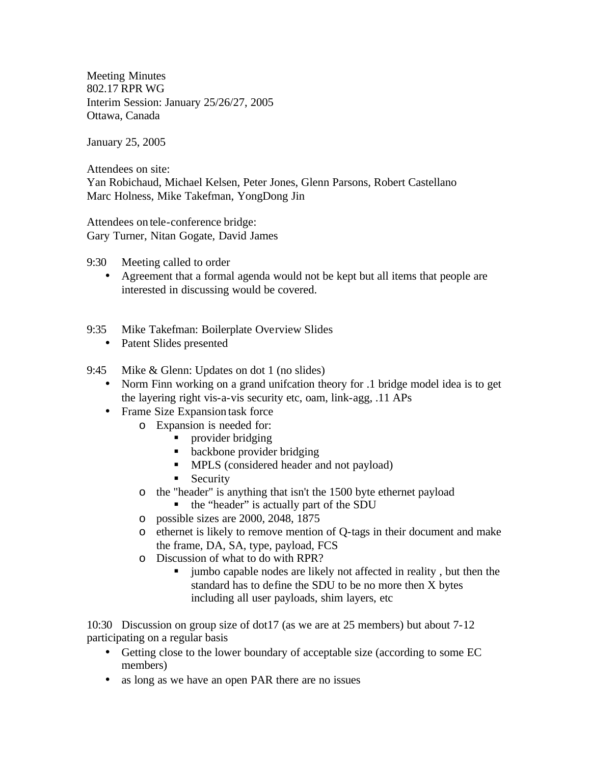Meeting Minutes 802.17 RPR WG Interim Session: January 25/26/27, 2005 Ottawa, Canada

January 25, 2005

Attendees on site: Yan Robichaud, Michael Kelsen, Peter Jones, Glenn Parsons, Robert Castellano Marc Holness, Mike Takefman, YongDong Jin

Attendees on tele-conference bridge: Gary Turner, Nitan Gogate, David James

- 9:30 Meeting called to order
	- Agreement that a formal agenda would not be kept but all items that people are interested in discussing would be covered.
- 9:35 Mike Takefman: Boilerplate Overview Slides
	- Patent Slides presented
- 9:45 Mike & Glenn: Updates on dot 1 (no slides)
	- Norm Finn working on a grand unification theory for .1 bridge model idea is to get the layering right vis-a-vis security etc, oam, link-agg, .11 APs
	- Frame Size Expansion task force
		- o Expansion is needed for:
			- **•** provider bridging
			- $\blacksquare$  backbone provider bridging
			- **IF MPLS** (considered header and not payload)
			- $S$ ecurity
			- o the "header" is anything that isn't the 1500 byte ethernet payload
				- ß the "header" is actually part of the SDU
			- o possible sizes are 2000, 2048, 1875
			- o ethernet is likely to remove mention of Q-tags in their document and make the frame, DA, SA, type, payload, FCS
			- o Discussion of what to do with RPR?
				- ß jumbo capable nodes are likely not affected in reality , but then the standard has to define the SDU to be no more then X bytes including all user payloads, shim layers, etc

10:30 Discussion on group size of dot17 (as we are at 25 members) but about 7-12 participating on a regular basis

- Getting close to the lower boundary of acceptable size (according to some EC members)
- as long as we have an open PAR there are no issues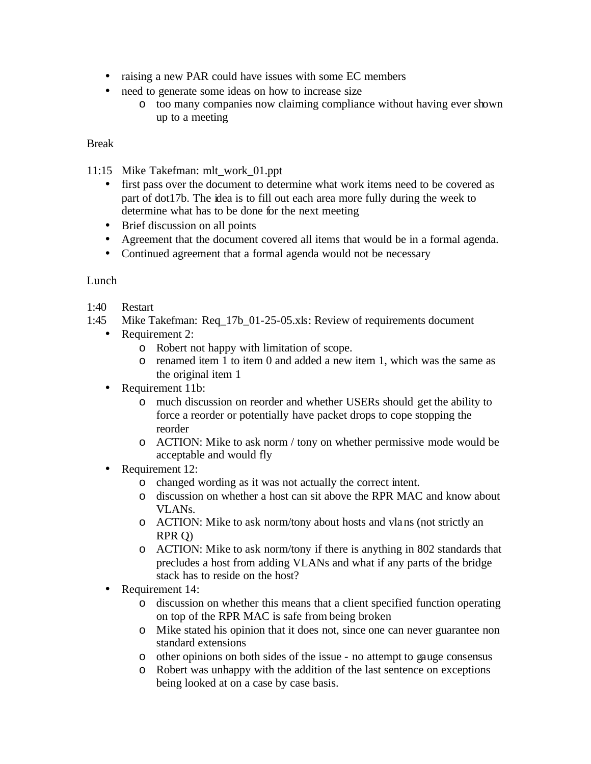- raising a new PAR could have issues with some EC members
- need to generate some ideas on how to increase size
	- o too many companies now claiming compliance without having ever shown up to a meeting

Break

11:15 Mike Takefman: mlt\_work\_01.ppt

- first pass over the document to determine what work items need to be covered as part of dot17b. The idea is to fill out each area more fully during the week to determine what has to be done for the next meeting
- Brief discussion on all points
- Agreement that the document covered all items that would be in a formal agenda.
- Continued agreement that a formal agenda would not be necessary

## **Lunch**

- 1:40 Restart
- 1:45 Mike Takefman: Req\_17b\_01-25-05.xls: Review of requirements document
	- Requirement 2:
		- o Robert not happy with limitation of scope.
		- o renamed item 1 to item 0 and added a new item 1, which was the same as the original item 1
	- Requirement 11b:
		- o much discussion on reorder and whether USERs should get the ability to force a reorder or potentially have packet drops to cope stopping the reorder
		- o ACTION: Mike to ask norm / tony on whether permissive mode would be acceptable and would fly
	- Requirement 12:
		- o changed wording as it was not actually the correct intent.
		- o discussion on whether a host can sit above the RPR MAC and know about VLANs.
		- o ACTION: Mike to ask norm/tony about hosts and vlans (not strictly an RPR Q)
		- o ACTION: Mike to ask norm/tony if there is anything in 802 standards that precludes a host from adding VLANs and what if any parts of the bridge stack has to reside on the host?
	- Requirement 14:
		- o discussion on whether this means that a client specified function operating on top of the RPR MAC is safe from being broken
		- o Mike stated his opinion that it does not, since one can never guarantee non standard extensions
		- o other opinions on both sides of the issue no attempt to gauge consensus
		- o Robert was unhappy with the addition of the last sentence on exceptions being looked at on a case by case basis.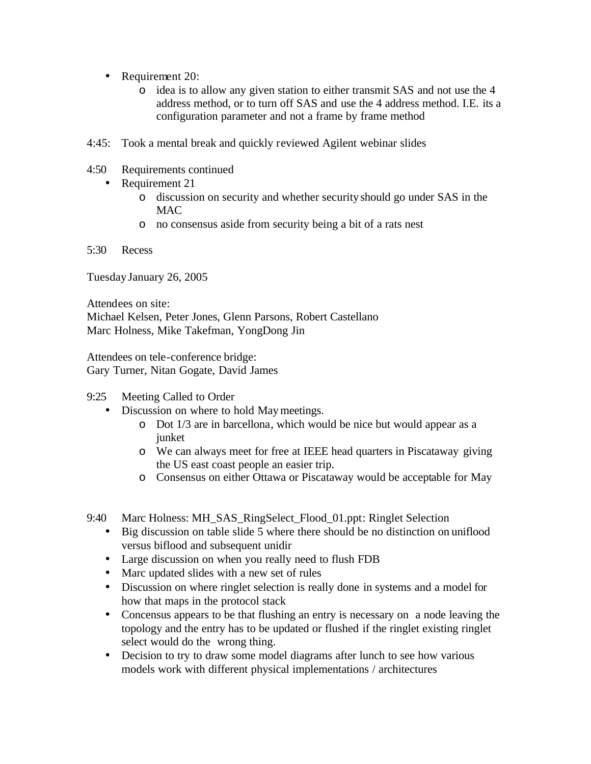- Requirement 20:
	- o idea is to allow any given station to either transmit SAS and not use the 4 address method, or to turn off SAS and use the 4 address method. I.E. its a configuration parameter and not a frame by frame method
- 4:45: Took a mental break and quickly reviewed Agilent webinar slides
- 4:50 Requirements continued
	- Requirement 21
		- o discussion on security and whether security should go under SAS in the MAC
		- o no consensus aside from security being a bit of a rats nest

5:30 Recess

Tuesday January 26, 2005

Attendees on site:

Michael Kelsen, Peter Jones, Glenn Parsons, Robert Castellano Marc Holness, Mike Takefman, YongDong Jin

Attendees on tele-conference bridge: Gary Turner, Nitan Gogate, David James

- 9:25 Meeting Called to Order
	- Discussion on where to hold May meetings.
		- o Dot 1/3 are in barcellona, which would be nice but would appear as a junket
		- o We can always meet for free at IEEE head quarters in Piscataway giving the US east coast people an easier trip.
		- o Consensus on either Ottawa or Piscataway would be acceptable for May

9:40 Marc Holness: MH\_SAS\_RingSelect\_Flood\_01.ppt: Ringlet Selection

- Big discussion on table slide 5 where there should be no distinction on uniflood versus biflood and subsequent unidir
- Large discussion on when you really need to flush FDB
- Marc updated slides with a new set of rules
- Discussion on where ringlet selection is really done in systems and a model for how that maps in the protocol stack
- Concensus appears to be that flushing an entry is necessary on a node leaving the topology and the entry has to be updated or flushed if the ringlet existing ringlet select would do the wrong thing.
- Decision to try to draw some model diagrams after lunch to see how various models work with different physical implementations / architectures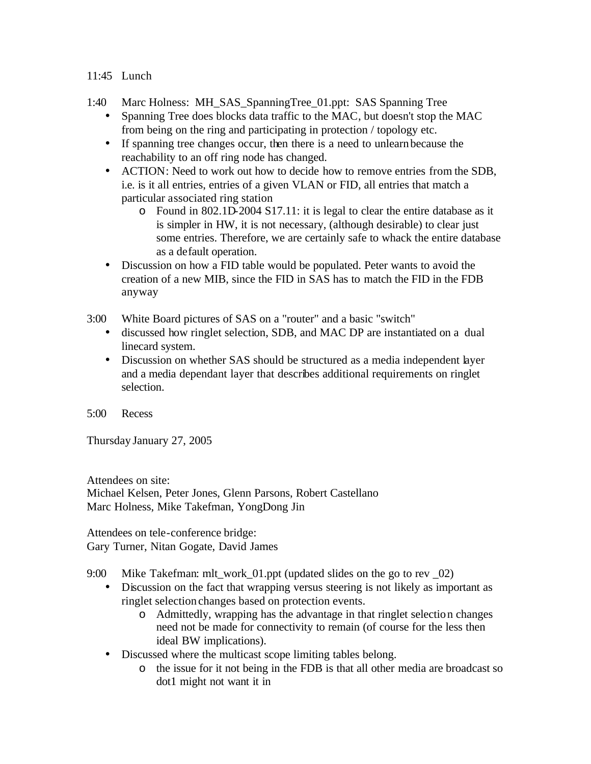## 11:45 Lunch

- 1:40 Marc Holness: MH\_SAS\_SpanningTree\_01.ppt: SAS Spanning Tree
	- Spanning Tree does blocks data traffic to the MAC, but doesn't stop the MAC from being on the ring and participating in protection / topology etc.
	- If spanning tree changes occur, then there is a need to unlearn because the reachability to an off ring node has changed.
	- ACTION: Need to work out how to decide how to remove entries from the SDB, i.e. is it all entries, entries of a given VLAN or FID, all entries that match a particular associated ring station
		- o Found in 802.1D-2004 S17.11: it is legal to clear the entire database as it is simpler in HW, it is not necessary, (although desirable) to clear just some entries. Therefore, we are certainly safe to whack the entire database as a default operation.
	- Discussion on how a FID table would be populated. Peter wants to avoid the creation of a new MIB, since the FID in SAS has to match the FID in the FDB anyway
- 3:00 White Board pictures of SAS on a "router" and a basic "switch"
	- discussed how ringlet selection, SDB, and MAC DP are instantiated on a dual linecard system.
	- Discussion on whether SAS should be structured as a media independent layer and a media dependant layer that describes additional requirements on ringlet selection.
- 5:00 Recess

Thursday January 27, 2005

Attendees on site: Michael Kelsen, Peter Jones, Glenn Parsons, Robert Castellano Marc Holness, Mike Takefman, YongDong Jin

Attendees on tele-conference bridge: Gary Turner, Nitan Gogate, David James

9:00 Mike Takefman: mlt\_work\_01.ppt (updated slides on the go to rev \_02)

- Discussion on the fact that wrapping versus steering is not likely as important as ringlet selection changes based on protection events.
	- o Admittedly, wrapping has the advantage in that ringlet selection changes need not be made for connectivity to remain (of course for the less then ideal BW implications).
- Discussed where the multicast scope limiting tables belong.
	- o the issue for it not being in the FDB is that all other media are broadcast so dot1 might not want it in